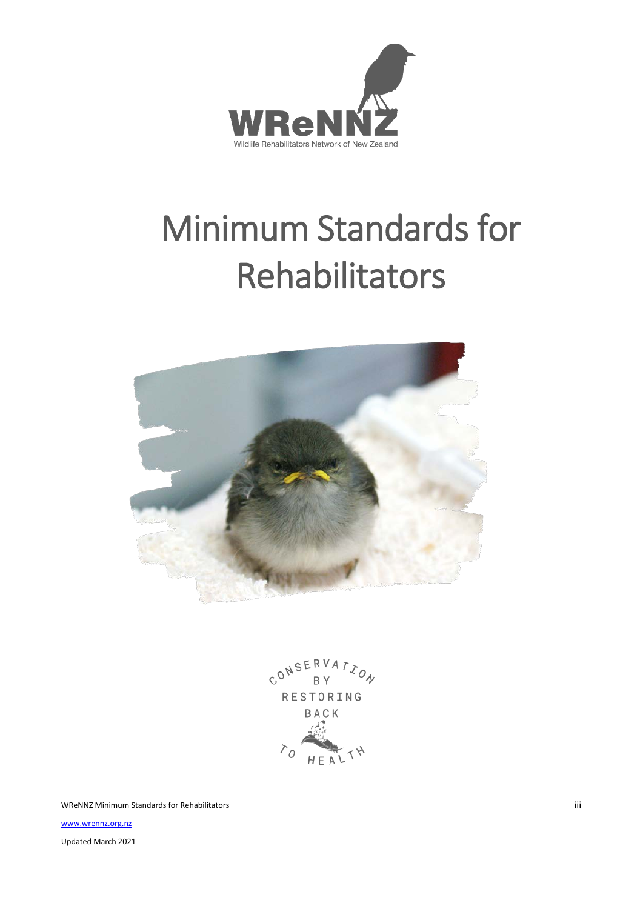

# Minimum Standards for Rehabilitators





WReNNZ Minimum Standards for Rehabilitators

[www.wrennz.org.nz](http://www.wrennz.org.nz/)

Updated March 2021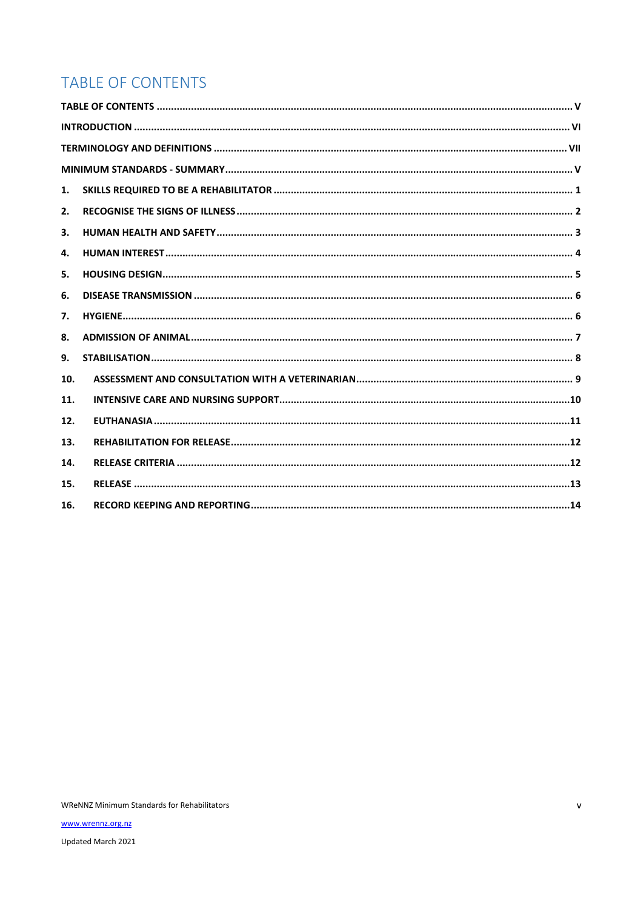# <span id="page-1-0"></span>**TABLE OF CONTENTS**

| 1.  |  |
|-----|--|
| 2.  |  |
| 3.  |  |
| 4.  |  |
| 5.  |  |
| 6.  |  |
| 7.  |  |
| 8.  |  |
| 9.  |  |
| 10. |  |
| 11. |  |
| 12. |  |
| 13. |  |
| 14. |  |
| 15. |  |
| 16. |  |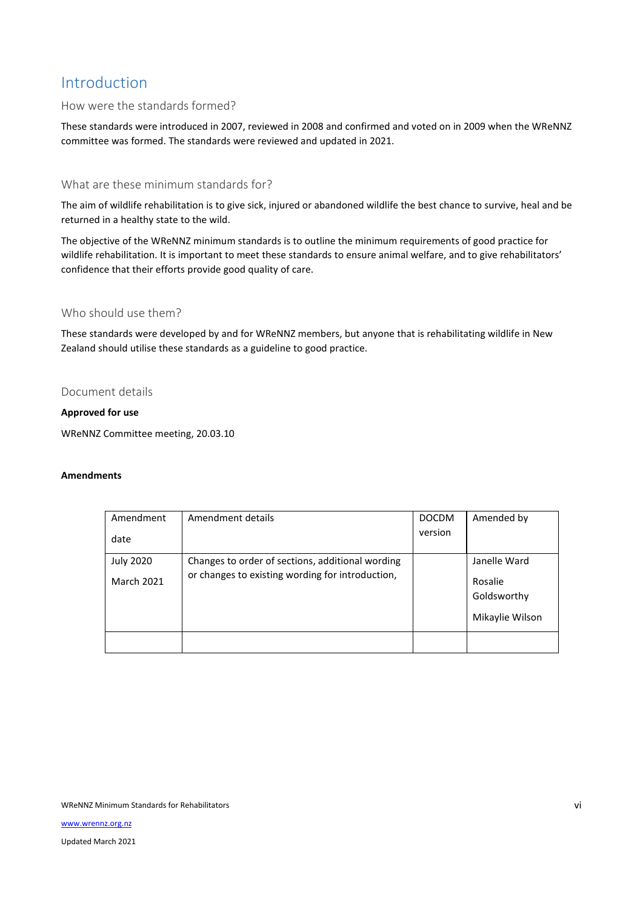# <span id="page-2-0"></span>Introduction

### How were the standards formed?

These standards were introduced in 2007, reviewed in 2008 and confirmed and voted on in 2009 when the WReNNZ committee was formed. The standards were reviewed and updated in 2021.

#### What are these minimum standards for?

The aim of wildlife rehabilitation is to give sick, injured or abandoned wildlife the best chance to survive, heal and be returned in a healthy state to the wild.

The objective of the WReNNZ minimum standards is to outline the minimum requirements of good practice for wildlife rehabilitation. It is important to meet these standards to ensure animal welfare, and to give rehabilitators' confidence that their efforts provide good quality of care.

#### Who should use them?

These standards were developed by and for WReNNZ members, but anyone that is rehabilitating wildlife in New Zealand should utilise these standards as a guideline to good practice.

#### Document details

#### **Approved for use**

WReNNZ Committee meeting, 20.03.10

#### **Amendments**

| Amendment         | Amendment details                                | <b>DOCDM</b> | Amended by                                |
|-------------------|--------------------------------------------------|--------------|-------------------------------------------|
| date              |                                                  | version      |                                           |
| <b>July 2020</b>  | Changes to order of sections, additional wording |              | Janelle Ward                              |
| <b>March 2021</b> | or changes to existing wording for introduction, |              | Rosalie<br>Goldsworthy<br>Mikaylie Wilson |
|                   |                                                  |              |                                           |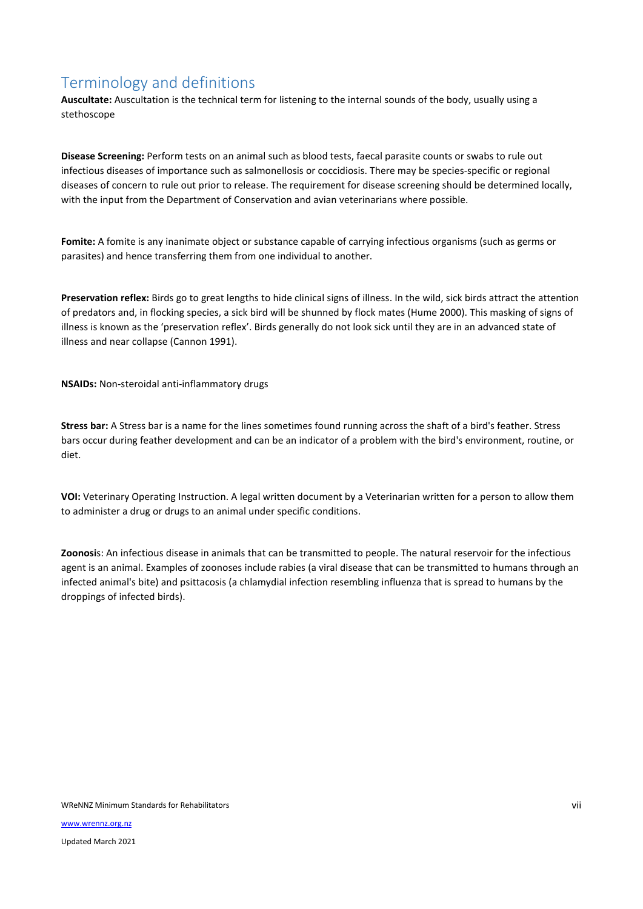# <span id="page-3-0"></span>Terminology and definitions

**Auscultate:** Auscultation is the technical term for listening to the internal sounds of the body, usually using a stethoscope

**Disease Screening:** Perform tests on an animal such as blood tests, faecal parasite counts or swabs to rule out infectious diseases of importance such as salmonellosis or coccidiosis. There may be species-specific or regional diseases of concern to rule out prior to release. The requirement for disease screening should be determined locally, with the input from the Department of Conservation and avian veterinarians where possible.

**Fomite:** A fomite is any inanimate object or substance capable of carrying infectious organisms (such as germs or parasites) and hence transferring them from one individual to another.

**Preservation reflex:** Birds go to great lengths to hide clinical signs of illness. In the wild, sick birds attract the attention of predators and, in flocking species, a sick bird will be shunned by flock mates (Hume 2000). This masking of signs of illness is known as the 'preservation reflex'. Birds generally do not look sick until they are in an advanced state of illness and near collapse (Cannon 1991).

**NSAIDs:** Non-steroidal anti-inflammatory drugs

**Stress bar:** A Stress bar is a name for the lines sometimes found running across the shaft of a bird's feather. Stress bars occur during feather development and can be an indicator of a problem with the bird's environment, routine, or diet.

**VOI:** Veterinary Operating Instruction. A legal written document by a Veterinarian written for a person to allow them to administer a drug or drugs to an animal under specific conditions.

**Zoonosi**s: An infectious disease in animals that can be transmitted to people. The natural reservoir for the infectious agent is an animal. Examples of zoonoses include rabies (a viral disease that can be transmitted to humans through an infected animal's bite) and psittacosis (a chlamydial infection resembling influenza that is spread to humans by the droppings of infected birds).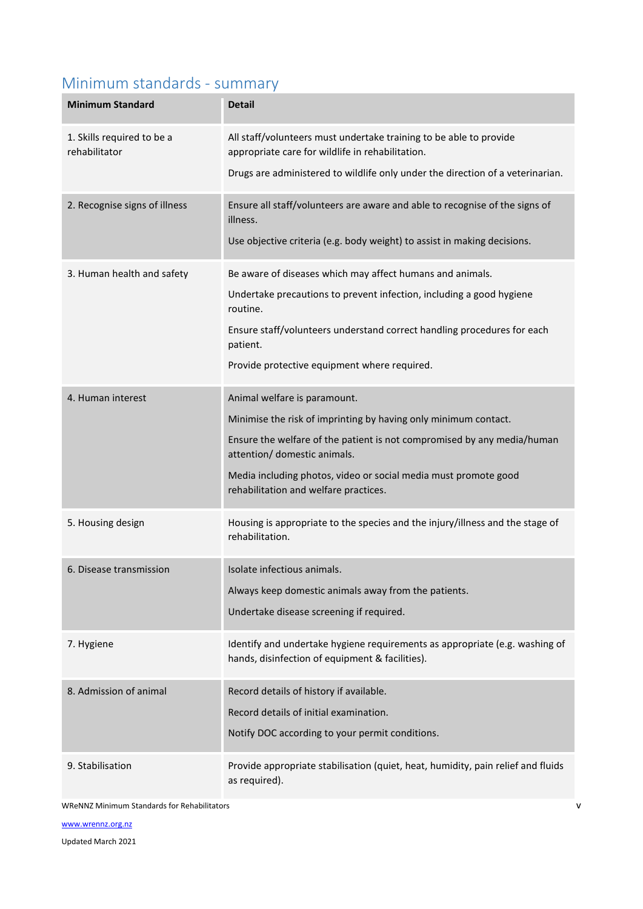# <span id="page-4-0"></span>Minimum standards - summary

| <b>Minimum Standard</b>                     | <b>Detail</b>                                                                                                                  |
|---------------------------------------------|--------------------------------------------------------------------------------------------------------------------------------|
| 1. Skills required to be a<br>rehabilitator | All staff/volunteers must undertake training to be able to provide<br>appropriate care for wildlife in rehabilitation.         |
|                                             | Drugs are administered to wildlife only under the direction of a veterinarian.                                                 |
| 2. Recognise signs of illness               | Ensure all staff/volunteers are aware and able to recognise of the signs of<br>illness.                                        |
|                                             | Use objective criteria (e.g. body weight) to assist in making decisions.                                                       |
| 3. Human health and safety                  | Be aware of diseases which may affect humans and animals.                                                                      |
|                                             | Undertake precautions to prevent infection, including a good hygiene<br>routine.                                               |
|                                             | Ensure staff/volunteers understand correct handling procedures for each<br>patient.                                            |
|                                             | Provide protective equipment where required.                                                                                   |
| 4. Human interest                           | Animal welfare is paramount.                                                                                                   |
|                                             | Minimise the risk of imprinting by having only minimum contact.                                                                |
|                                             | Ensure the welfare of the patient is not compromised by any media/human<br>attention/ domestic animals.                        |
|                                             | Media including photos, video or social media must promote good<br>rehabilitation and welfare practices.                       |
| 5. Housing design                           | Housing is appropriate to the species and the injury/illness and the stage of<br>rehabilitation.                               |
| 6. Disease transmission                     | Isolate infectious animals.                                                                                                    |
|                                             | Always keep domestic animals away from the patients.                                                                           |
|                                             | Undertake disease screening if required.                                                                                       |
| 7. Hygiene                                  | Identify and undertake hygiene requirements as appropriate (e.g. washing of<br>hands, disinfection of equipment & facilities). |
| 8. Admission of animal                      | Record details of history if available.                                                                                        |
|                                             | Record details of initial examination.                                                                                         |
|                                             | Notify DOC according to your permit conditions.                                                                                |
| 9. Stabilisation                            | Provide appropriate stabilisation (quiet, heat, humidity, pain relief and fluids<br>as required).                              |

WReNNZ Minimum Standards for Rehabilitators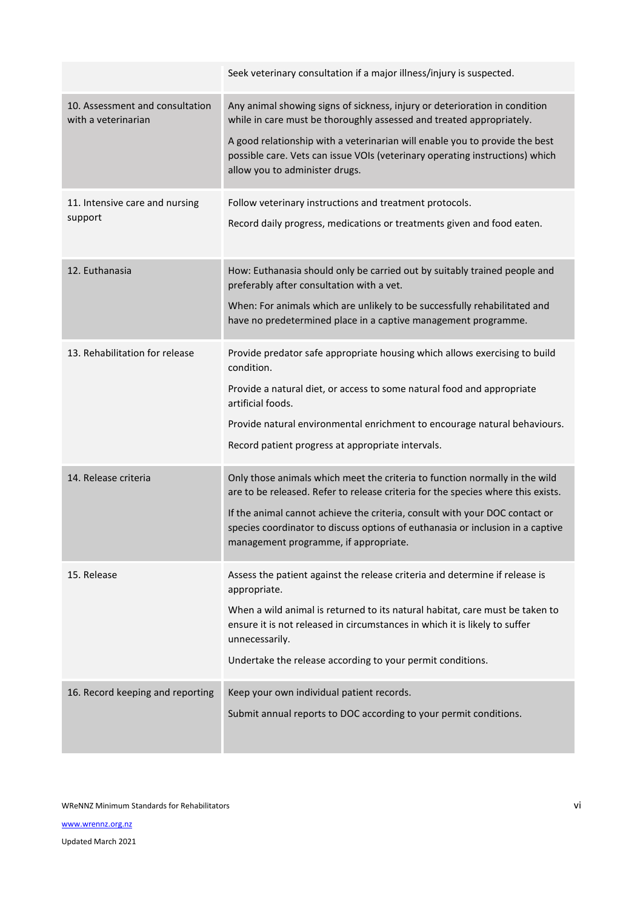|                                                        | Seek veterinary consultation if a major illness/injury is suspected.                                                                                                                                                                                                                                                                                                      |
|--------------------------------------------------------|---------------------------------------------------------------------------------------------------------------------------------------------------------------------------------------------------------------------------------------------------------------------------------------------------------------------------------------------------------------------------|
| 10. Assessment and consultation<br>with a veterinarian | Any animal showing signs of sickness, injury or deterioration in condition<br>while in care must be thoroughly assessed and treated appropriately.<br>A good relationship with a veterinarian will enable you to provide the best<br>possible care. Vets can issue VOIs (veterinary operating instructions) which<br>allow you to administer drugs.                       |
| 11. Intensive care and nursing<br>support              | Follow veterinary instructions and treatment protocols.<br>Record daily progress, medications or treatments given and food eaten.                                                                                                                                                                                                                                         |
| 12. Euthanasia                                         | How: Euthanasia should only be carried out by suitably trained people and<br>preferably after consultation with a vet.<br>When: For animals which are unlikely to be successfully rehabilitated and<br>have no predetermined place in a captive management programme.                                                                                                     |
| 13. Rehabilitation for release                         | Provide predator safe appropriate housing which allows exercising to build<br>condition.<br>Provide a natural diet, or access to some natural food and appropriate<br>artificial foods.<br>Provide natural environmental enrichment to encourage natural behaviours.<br>Record patient progress at appropriate intervals.                                                 |
| 14. Release criteria                                   | Only those animals which meet the criteria to function normally in the wild<br>are to be released. Refer to release criteria for the species where this exists.<br>If the animal cannot achieve the criteria, consult with your DOC contact or<br>species coordinator to discuss options of euthanasia or inclusion in a captive<br>management programme, if appropriate. |
| 15. Release                                            | Assess the patient against the release criteria and determine if release is<br>appropriate.<br>When a wild animal is returned to its natural habitat, care must be taken to<br>ensure it is not released in circumstances in which it is likely to suffer<br>unnecessarily.<br>Undertake the release according to your permit conditions.                                 |
| 16. Record keeping and reporting                       | Keep your own individual patient records.<br>Submit annual reports to DOC according to your permit conditions.                                                                                                                                                                                                                                                            |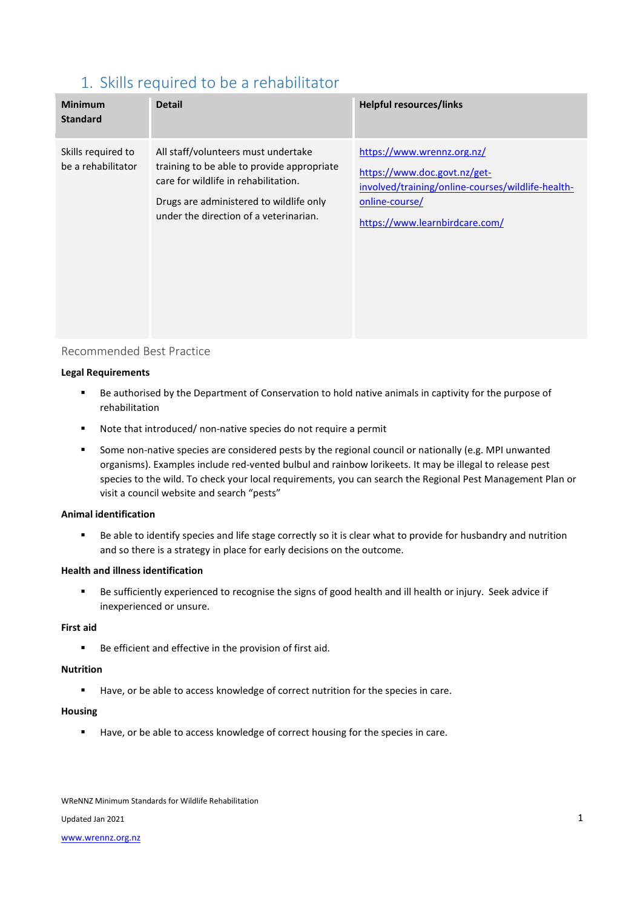# <span id="page-6-0"></span>1. Skills required to be a rehabilitator

| <b>Minimum</b><br><b>Standard</b>        | <b>Detail</b>                                                                                                                                                                                                  | <b>Helpful resources/links</b>                                                                                                                                      |
|------------------------------------------|----------------------------------------------------------------------------------------------------------------------------------------------------------------------------------------------------------------|---------------------------------------------------------------------------------------------------------------------------------------------------------------------|
| Skills required to<br>be a rehabilitator | All staff/volunteers must undertake<br>training to be able to provide appropriate<br>care for wildlife in rehabilitation.<br>Drugs are administered to wildlife only<br>under the direction of a veterinarian. | https://www.wrennz.org.nz/<br>https://www.doc.govt.nz/get-<br>involved/training/online-courses/wildlife-health-<br>online-course/<br>https://www.learnbirdcare.com/ |

#### Recommended Best Practice

#### **Legal Requirements**

- Be authorised by the Department of Conservation to hold native animals in captivity for the purpose of rehabilitation
- Note that introduced/ non-native species do not require a permit
- Some non-native species are considered pests by the regional council or nationally (e.g. MPI unwanted organisms). Examples include red-vented bulbul and rainbow lorikeets. It may be illegal to release pest species to the wild. To check your local requirements, you can search the Regional Pest Management Plan or visit a council website and search "pests"

#### **Animal identification**

 Be able to identify species and life stage correctly so it is clear what to provide for husbandry and nutrition and so there is a strategy in place for early decisions on the outcome.

#### **Health and illness identification**

 Be sufficiently experienced to recognise the signs of good health and ill health or injury. Seek advice if inexperienced or unsure.

#### **First aid**

Be efficient and effective in the provision of first aid.

#### **Nutrition**

Have, or be able to access knowledge of correct nutrition for the species in care.

#### **Housing**

Have, or be able to access knowledge of correct housing for the species in care.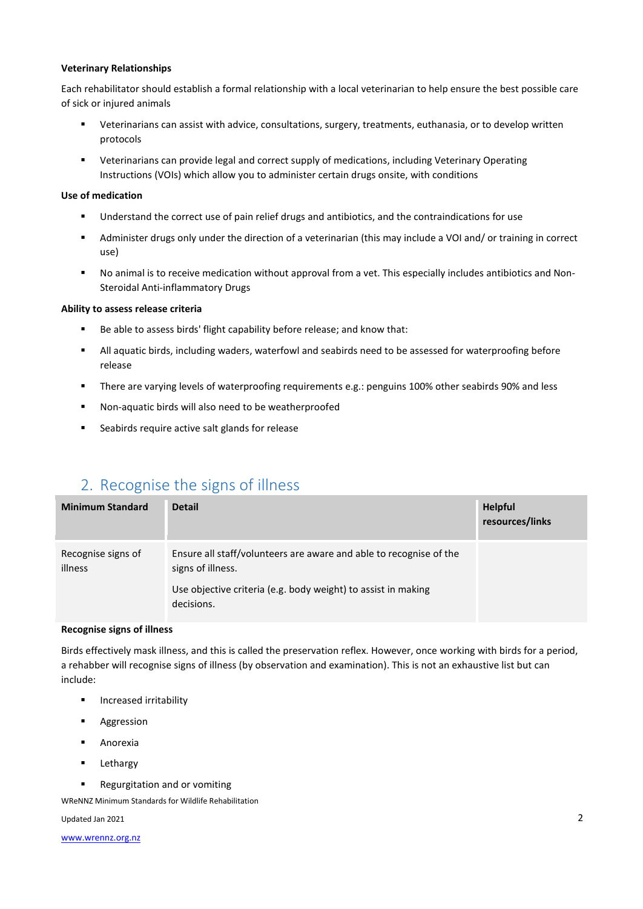#### **Veterinary Relationships**

Each rehabilitator should establish a formal relationship with a local veterinarian to help ensure the best possible care of sick or injured animals

- Veterinarians can assist with advice, consultations, surgery, treatments, euthanasia, or to develop written protocols
- Veterinarians can provide legal and correct supply of medications, including Veterinary Operating Instructions (VOIs) which allow you to administer certain drugs onsite, with conditions

#### **Use of medication**

- Understand the correct use of pain relief drugs and antibiotics, and the contraindications for use
- Administer drugs only under the direction of a veterinarian (this may include a VOI and/ or training in correct use)
- No animal is to receive medication without approval from a vet. This especially includes antibiotics and Non-Steroidal Anti-inflammatory Drugs

#### **Ability to assess release criteria**

- Be able to assess birds' flight capability before release; and know that:
- All aquatic birds, including waders, waterfowl and seabirds need to be assessed for waterproofing before release
- There are varying levels of waterproofing requirements e.g.: penguins 100% other seabirds 90% and less
- Non-aquatic birds will also need to be weatherproofed
- **EXEC** Seabirds require active salt glands for release

### <span id="page-7-0"></span>2. Recognise the signs of illness

| <b>Minimum Standard</b>       | <b>Detail</b>                                                                           | <b>Helpful</b><br>resources/links |
|-------------------------------|-----------------------------------------------------------------------------------------|-----------------------------------|
| Recognise signs of<br>illness | Ensure all staff/volunteers are aware and able to recognise of the<br>signs of illness. |                                   |
|                               | Use objective criteria (e.g. body weight) to assist in making<br>decisions.             |                                   |

#### **Recognise signs of illness**

Birds effectively mask illness, and this is called the preservation reflex. However, once working with birds for a period, a rehabber will recognise signs of illness (by observation and examination). This is not an exhaustive list but can include:

- Increased irritability
- **Aggression**
- Anorexia
- **Lethargy**
- **Regurgitation and or vomiting**

WReNNZ Minimum Standards for Wildlife Rehabilitation

Updated Jan 2021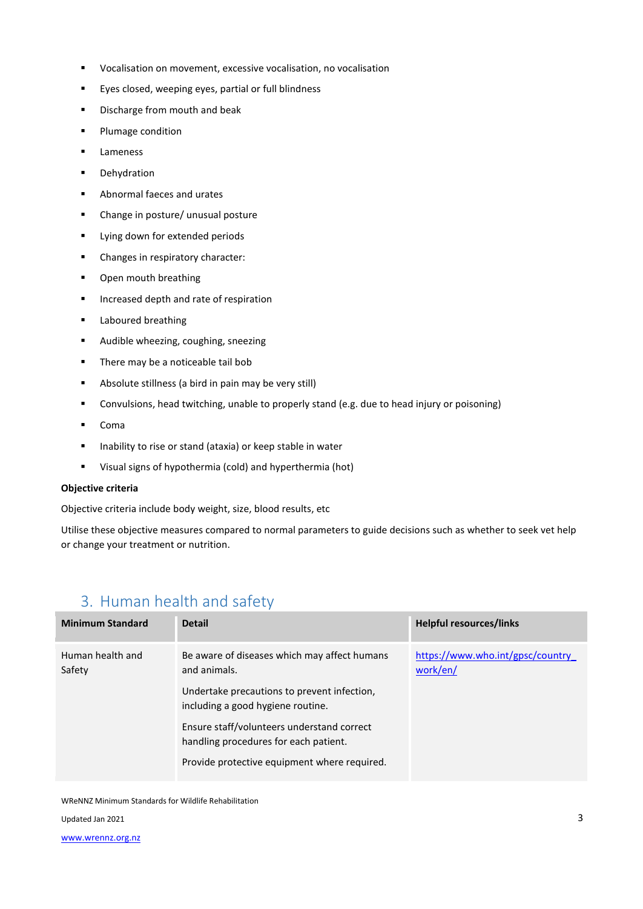- Vocalisation on movement, excessive vocalisation, no vocalisation
- Eyes closed, weeping eyes, partial or full blindness
- **Discharge from mouth and beak**
- **Plumage condition**
- **Lameness**
- **Dehydration**
- Abnormal faeces and urates
- Change in posture/ unusual posture
- **U** Lying down for extended periods
- Changes in respiratory character:
- **•** Open mouth breathing
- **Increased depth and rate of respiration**
- **E** Laboured breathing
- Audible wheezing, coughing, sneezing
- There may be a noticeable tail bob
- Absolute stillness (a bird in pain may be very still)
- Convulsions, head twitching, unable to properly stand (e.g. due to head injury or poisoning)
- Coma
- **Inability to rise or stand (ataxia) or keep stable in water**
- Visual signs of hypothermia (cold) and hyperthermia (hot)

#### **Objective criteria**

Objective criteria include body weight, size, blood results, etc

Utilise these objective measures compared to normal parameters to guide decisions such as whether to seek vet help or change your treatment or nutrition.

| <b>Minimum Standard</b>    | <b>Detail</b>                                                                       | <b>Helpful resources/links</b>               |
|----------------------------|-------------------------------------------------------------------------------------|----------------------------------------------|
| Human health and<br>Safety | Be aware of diseases which may affect humans<br>and animals.                        | https://www.who.int/gpsc/country<br>work/en/ |
|                            | Undertake precautions to prevent infection,<br>including a good hygiene routine.    |                                              |
|                            | Ensure staff/volunteers understand correct<br>handling procedures for each patient. |                                              |
|                            | Provide protective equipment where required.                                        |                                              |

### <span id="page-8-0"></span>3. Human health and safety

WReNNZ Minimum Standards for Wildlife Rehabilitation

#### Updated Jan 2021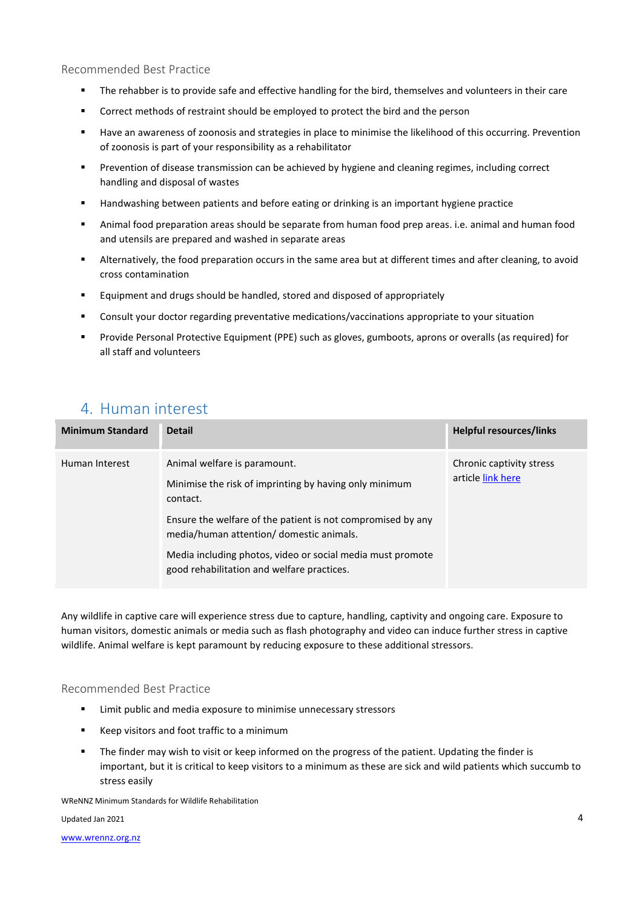#### Recommended Best Practice

- The rehabber is to provide safe and effective handling for the bird, themselves and volunteers in their care
- Correct methods of restraint should be employed to protect the bird and the person
- Have an awareness of zoonosis and strategies in place to minimise the likelihood of this occurring. Prevention of zoonosis is part of your responsibility as a rehabilitator
- **Prevention of disease transmission can be achieved by hygiene and cleaning regimes, including correct** handling and disposal of wastes
- Handwashing between patients and before eating or drinking is an important hygiene practice
- Animal food preparation areas should be separate from human food prep areas. i.e. animal and human food and utensils are prepared and washed in separate areas
- Alternatively, the food preparation occurs in the same area but at different times and after cleaning, to avoid cross contamination
- **Equipment and drugs should be handled, stored and disposed of appropriately**
- Consult your doctor regarding preventative medications/vaccinations appropriate to your situation
- Provide Personal Protective Equipment (PPE) such as gloves, gumboots, aprons or overalls (as required) for all staff and volunteers

### <span id="page-9-0"></span>4. Human interest

| <b>Minimum Standard</b> | <b>Detail</b>                                                                                                                                                                                                                                                                                                             | <b>Helpful resources/links</b>                |
|-------------------------|---------------------------------------------------------------------------------------------------------------------------------------------------------------------------------------------------------------------------------------------------------------------------------------------------------------------------|-----------------------------------------------|
| Human Interest          | Animal welfare is paramount.<br>Minimise the risk of imprinting by having only minimum<br>contact.<br>Ensure the welfare of the patient is not compromised by any<br>media/human attention/ domestic animals.<br>Media including photos, video or social media must promote<br>good rehabilitation and welfare practices. | Chronic captivity stress<br>article link here |

Any wildlife in captive care will experience stress due to capture, handling, captivity and ongoing care. Exposure to human visitors, domestic animals or media such as flash photography and video can induce further stress in captive wildlife. Animal welfare is kept paramount by reducing exposure to these additional stressors.

#### Recommended Best Practice

- **EXECUTE:** Limit public and media exposure to minimise unnecessary stressors
- Keep visitors and foot traffic to a minimum
- The finder may wish to visit or keep informed on the progress of the patient. Updating the finder is important, but it is critical to keep visitors to a minimum as these are sick and wild patients which succumb to stress easily

WReNNZ Minimum Standards for Wildlife Rehabilitation

Updated Jan 2021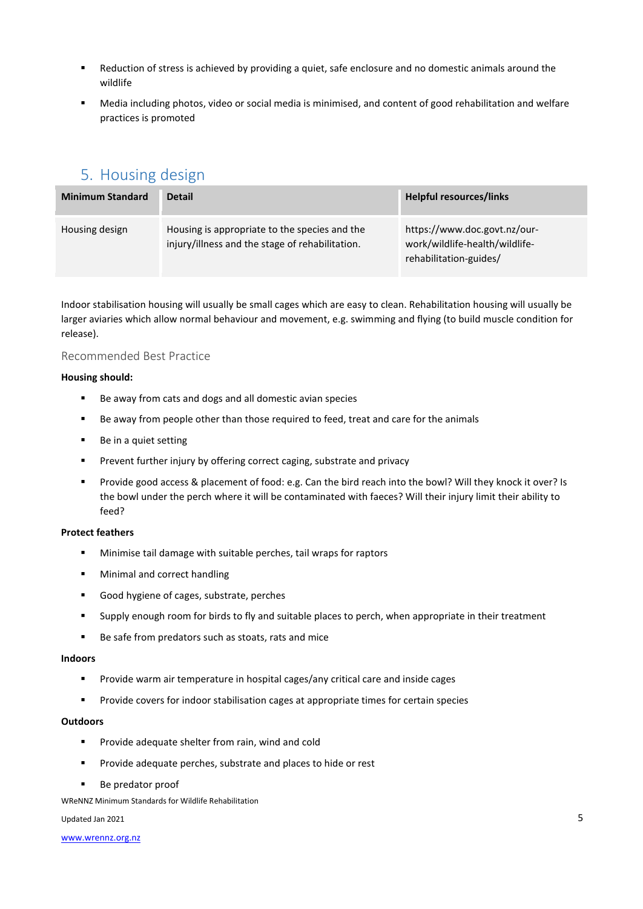- Reduction of stress is achieved by providing a quiet, safe enclosure and no domestic animals around the wildlife
- Media including photos, video or social media is minimised, and content of good rehabilitation and welfare practices is promoted

### <span id="page-10-0"></span>5. Housing design

| <b>Minimum Standard</b> | <b>Detail</b>                                                                                    | <b>Helpful resources/links</b>                                                           |
|-------------------------|--------------------------------------------------------------------------------------------------|------------------------------------------------------------------------------------------|
| Housing design          | Housing is appropriate to the species and the<br>injury/illness and the stage of rehabilitation. | https://www.doc.govt.nz/our-<br>work/wildlife-health/wildlife-<br>rehabilitation-guides/ |

Indoor stabilisation housing will usually be small cages which are easy to clean. Rehabilitation housing will usually be larger aviaries which allow normal behaviour and movement, e.g. swimming and flying (to build muscle condition for release).

#### Recommended Best Practice

#### **Housing should:**

- Be away from cats and dogs and all domestic avian species
- Be away from people other than those required to feed, treat and care for the animals
- Be in a quiet setting
- **Prevent further injury by offering correct caging, substrate and privacy**
- Provide good access & placement of food: e.g. Can the bird reach into the bowl? Will they knock it over? Is the bowl under the perch where it will be contaminated with faeces? Will their injury limit their ability to feed?

#### **Protect feathers**

- Minimise tail damage with suitable perches, tail wraps for raptors
- **Minimal and correct handling**
- Good hygiene of cages, substrate, perches
- Supply enough room for birds to fly and suitable places to perch, when appropriate in their treatment
- Be safe from predators such as stoats, rats and mice

#### **Indoors**

- **Provide warm air temperature in hospital cages/any critical care and inside cages**
- **Provide covers for indoor stabilisation cages at appropriate times for certain species**

#### **Outdoors**

- **Provide adequate shelter from rain, wind and cold**
- **Provide adequate perches, substrate and places to hide or rest**
- Be predator proof

WReNNZ Minimum Standards for Wildlife Rehabilitation

#### Updated Jan 2021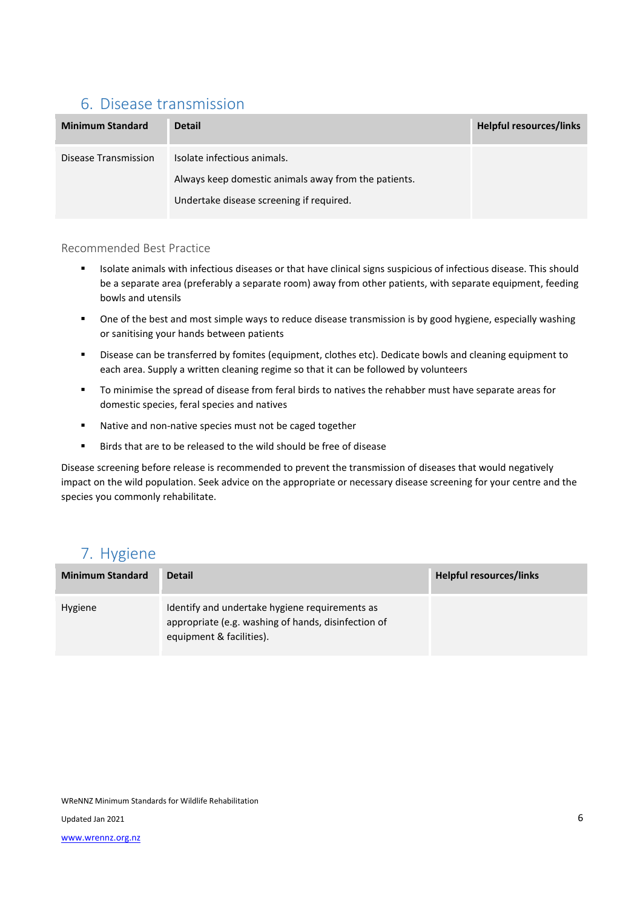### <span id="page-11-0"></span>6. Disease transmission

| <b>Minimum Standard</b> | <b>Detail</b>                                        | <b>Helpful resources/links</b> |
|-------------------------|------------------------------------------------------|--------------------------------|
| Disease Transmission    | Isolate infectious animals.                          |                                |
|                         | Always keep domestic animals away from the patients. |                                |
|                         | Undertake disease screening if required.             |                                |
|                         |                                                      |                                |

#### Recommended Best Practice

- Isolate animals with infectious diseases or that have clinical signs suspicious of infectious disease. This should be a separate area (preferably a separate room) away from other patients, with separate equipment, feeding bowls and utensils
- **•** One of the best and most simple ways to reduce disease transmission is by good hygiene, especially washing or sanitising your hands between patients
- Disease can be transferred by fomites (equipment, clothes etc). Dedicate bowls and cleaning equipment to each area. Supply a written cleaning regime so that it can be followed by volunteers
- To minimise the spread of disease from feral birds to natives the rehabber must have separate areas for domestic species, feral species and natives
- Native and non-native species must not be caged together
- Birds that are to be released to the wild should be free of disease

Disease screening before release is recommended to prevent the transmission of diseases that would negatively impact on the wild population. Seek advice on the appropriate or necessary disease screening for your centre and the species you commonly rehabilitate.

# <span id="page-11-1"></span>7. Hygiene

| <b>Minimum Standard</b> | <b>Detail</b>                                                                                                                     | <b>Helpful resources/links</b> |
|-------------------------|-----------------------------------------------------------------------------------------------------------------------------------|--------------------------------|
| Hygiene                 | Identify and undertake hygiene requirements as<br>appropriate (e.g. washing of hands, disinfection of<br>equipment & facilities). |                                |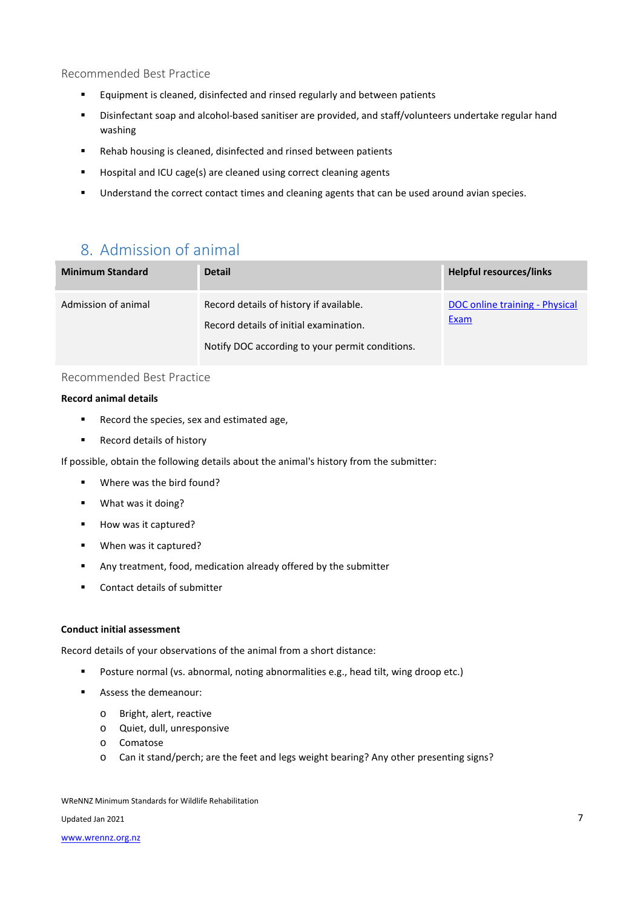Recommended Best Practice

- Equipment is cleaned, disinfected and rinsed regularly and between patients
- Disinfectant soap and alcohol-based sanitiser are provided, and staff/volunteers undertake regular hand washing
- Rehab housing is cleaned, disinfected and rinsed between patients
- **Hospital and ICU cage(s) are cleaned using correct cleaning agents**
- Understand the correct contact times and cleaning agents that can be used around avian species.

# <span id="page-12-0"></span>8. Admission of animal

| <b>Minimum Standard</b> | <b>Detail</b>                                                                                                                        | <b>Helpful resources/links</b>         |
|-------------------------|--------------------------------------------------------------------------------------------------------------------------------------|----------------------------------------|
| Admission of animal     | Record details of history if available.<br>Record details of initial examination.<br>Notify DOC according to your permit conditions. | DOC online training - Physical<br>Exam |

#### Recommended Best Practice

#### **Record animal details**

- Record the species, sex and estimated age,
- **Record details of history**

If possible, obtain the following details about the animal's history from the submitter:

- Where was the bird found?
- What was it doing?
- How was it captured?
- When was it captured?
- Any treatment, food, medication already offered by the submitter
- Contact details of submitter

#### **Conduct initial assessment**

Record details of your observations of the animal from a short distance:

- Posture normal (vs. abnormal, noting abnormalities e.g., head tilt, wing droop etc.)
- Assess the demeanour:
	- o Bright, alert, reactive
	- o Quiet, dull, unresponsive
	- o Comatose
	- o Can it stand/perch; are the feet and legs weight bearing? Any other presenting signs?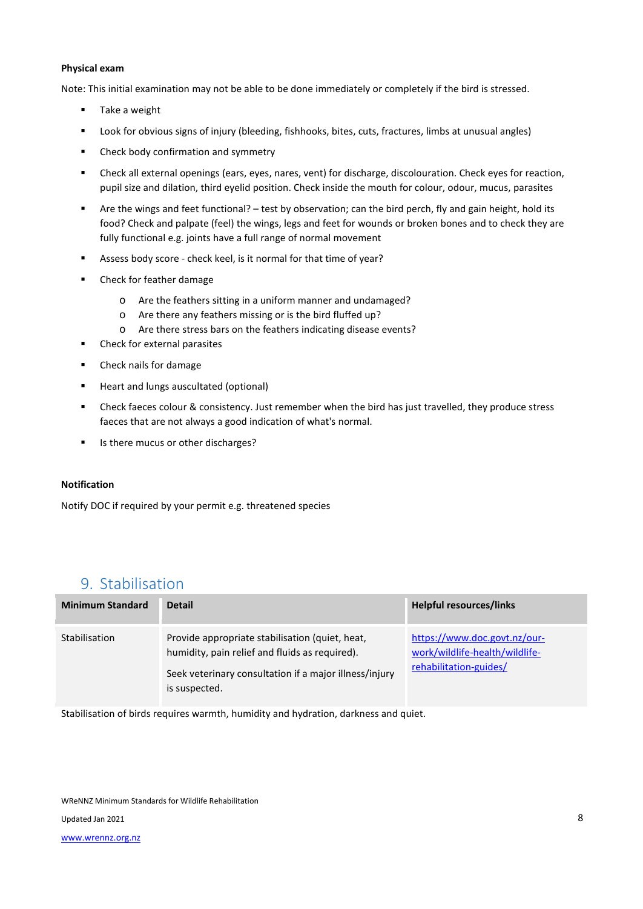#### **Physical exam**

Note: This initial examination may not be able to be done immediately or completely if the bird is stressed.

- **Take a weight**
- Look for obvious signs of injury (bleeding, fishhooks, bites, cuts, fractures, limbs at unusual angles)
- Check body confirmation and symmetry
- Check all external openings (ears, eyes, nares, vent) for discharge, discolouration. Check eyes for reaction, pupil size and dilation, third eyelid position. Check inside the mouth for colour, odour, mucus, parasites
- Are the wings and feet functional? test by observation; can the bird perch, fly and gain height, hold its food? Check and palpate (feel) the wings, legs and feet for wounds or broken bones and to check they are fully functional e.g. joints have a full range of normal movement
- Assess body score check keel, is it normal for that time of year?
- **EXEC** for feather damage
	- o Are the feathers sitting in a uniform manner and undamaged?
	- o Are there any feathers missing or is the bird fluffed up?
	- o Are there stress bars on the feathers indicating disease events?
- Check for external parasites
- **EXECUTE:** Check nails for damage
- Heart and lungs auscultated (optional)
- Check faeces colour & consistency. Just remember when the bird has just travelled, they produce stress faeces that are not always a good indication of what's normal.
- Is there mucus or other discharges?

#### **Notification**

Notify DOC if required by your permit e.g. threatened species

### <span id="page-13-0"></span>9. Stabilisation

| <b>Minimum Standard</b> | <b>Detail</b>                                                                                                                                                                | <b>Helpful resources/links</b>                                                           |
|-------------------------|------------------------------------------------------------------------------------------------------------------------------------------------------------------------------|------------------------------------------------------------------------------------------|
| Stabilisation           | Provide appropriate stabilisation (quiet, heat,<br>humidity, pain relief and fluids as required).<br>Seek veterinary consultation if a major illness/injury<br>is suspected. | https://www.doc.govt.nz/our-<br>work/wildlife-health/wildlife-<br>rehabilitation-guides/ |

Stabilisation of birds requires warmth, humidity and hydration, darkness and quiet.

WReNNZ Minimum Standards for Wildlife Rehabilitation

Updated Jan 2021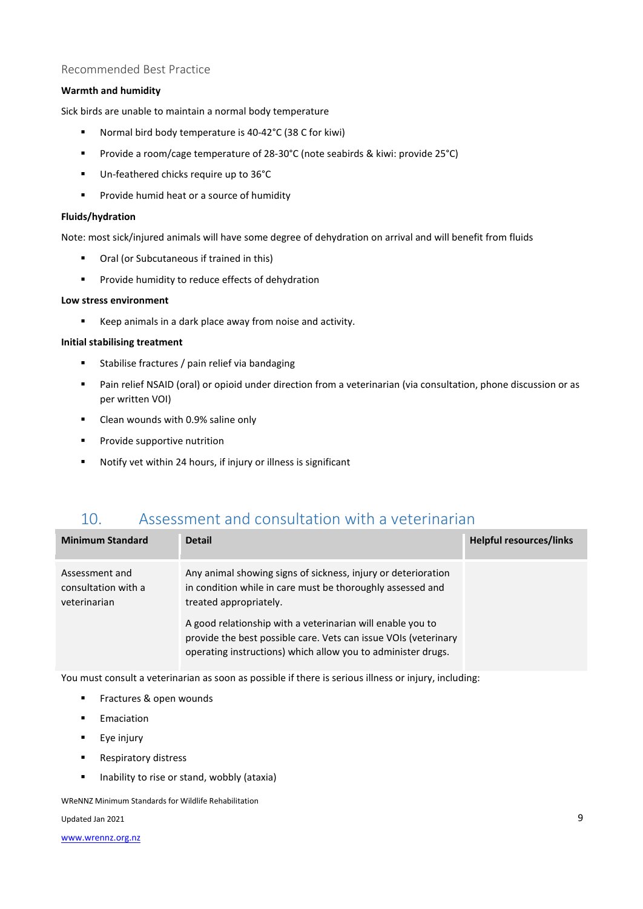#### Recommended Best Practice

#### **Warmth and humidity**

Sick birds are unable to maintain a normal body temperature

- Normal bird body temperature is 40-42°C (38 C for kiwi)
- Provide a room/cage temperature of 28-30°C (note seabirds & kiwi: provide 25°C)
- Un-feathered chicks require up to 36°C
- **Provide humid heat or a source of humidity**

#### **Fluids/hydration**

Note: most sick/injured animals will have some degree of dehydration on arrival and will benefit from fluids

- Oral (or Subcutaneous if trained in this)
- **Provide humidity to reduce effects of dehydration**

#### **Low stress environment**

Keep animals in a dark place away from noise and activity.

#### **Initial stabilising treatment**

- Stabilise fractures / pain relief via bandaging
- Pain relief NSAID (oral) or opioid under direction from a veterinarian (via consultation, phone discussion or as per written VOI)
- Clean wounds with 0.9% saline only
- **Provide supportive nutrition**
- Notify vet within 24 hours, if injury or illness is significant

### <span id="page-14-0"></span>10. Assessment and consultation with a veterinarian

| <b>Minimum Standard</b>                               | <b>Detail</b>                                                                                                                                                                                 | <b>Helpful resources/links</b> |
|-------------------------------------------------------|-----------------------------------------------------------------------------------------------------------------------------------------------------------------------------------------------|--------------------------------|
| Assessment and<br>consultation with a<br>veterinarian | Any animal showing signs of sickness, injury or deterioration<br>in condition while in care must be thoroughly assessed and<br>treated appropriately.                                         |                                |
|                                                       | A good relationship with a veterinarian will enable you to<br>provide the best possible care. Vets can issue VOIs (veterinary<br>operating instructions) which allow you to administer drugs. |                                |

You must consult a veterinarian as soon as possible if there is serious illness or injury, including:

- **FIGULARY FRACTURES** & open wounds
- **Emaciation**
- **Eye injury**
- **Respiratory distress**
- Inability to rise or stand, wobbly (ataxia)

WReNNZ Minimum Standards for Wildlife Rehabilitation

#### Updated Jan 2021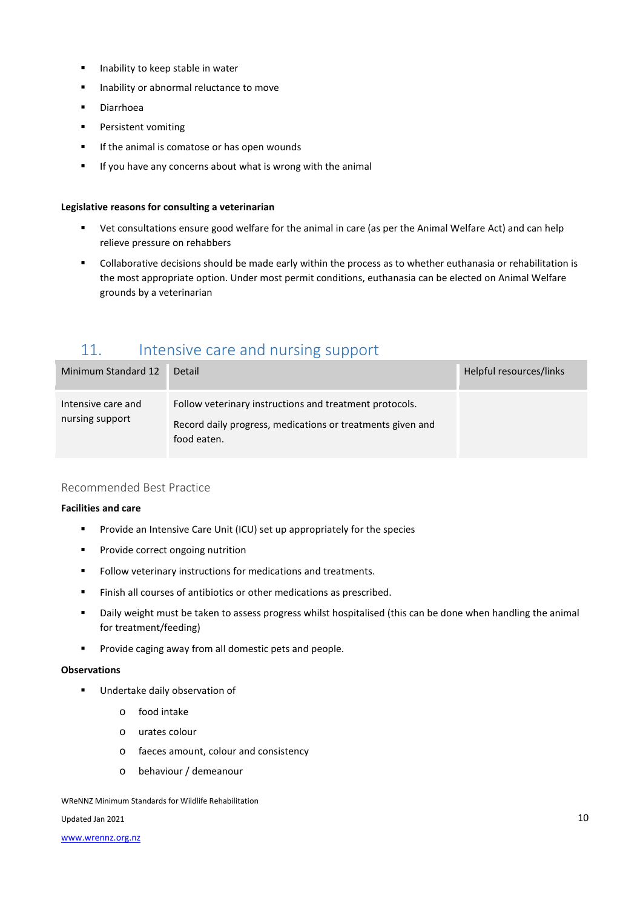- **Inability to keep stable in water**
- **Inability or abnormal reluctance to move**
- Diarrhoea
- **Persistent vomiting**
- **If the animal is comatose or has open wounds**
- **If you have any concerns about what is wrong with the animal**

#### **Legislative reasons for consulting a veterinarian**

- Vet consultations ensure good welfare for the animal in care (as per the Animal Welfare Act) and can help relieve pressure on rehabbers
- Collaborative decisions should be made early within the process as to whether euthanasia or rehabilitation is the most appropriate option. Under most permit conditions, euthanasia can be elected on Animal Welfare grounds by a veterinarian

### <span id="page-15-0"></span>11. Intensive care and nursing support

| Minimum Standard 12                   | Detail                                                                                                                               | Helpful resources/links |
|---------------------------------------|--------------------------------------------------------------------------------------------------------------------------------------|-------------------------|
| Intensive care and<br>nursing support | Follow veterinary instructions and treatment protocols.<br>Record daily progress, medications or treatments given and<br>food eaten. |                         |

#### Recommended Best Practice

#### **Facilities and care**

- **Provide an Intensive Care Unit (ICU) set up appropriately for the species**
- **Provide correct ongoing nutrition**
- Follow veterinary instructions for medications and treatments.
- Finish all courses of antibiotics or other medications as prescribed.
- Daily weight must be taken to assess progress whilst hospitalised (this can be done when handling the animal for treatment/feeding)
- **Provide caging away from all domestic pets and people.**

#### **Observations**

- **Undertake daily observation of** 
	- o food intake
	- o urates colour
	- o faeces amount, colour and consistency
	- o behaviour / demeanour

WReNNZ Minimum Standards for Wildlife Rehabilitation

#### Updated Jan 2021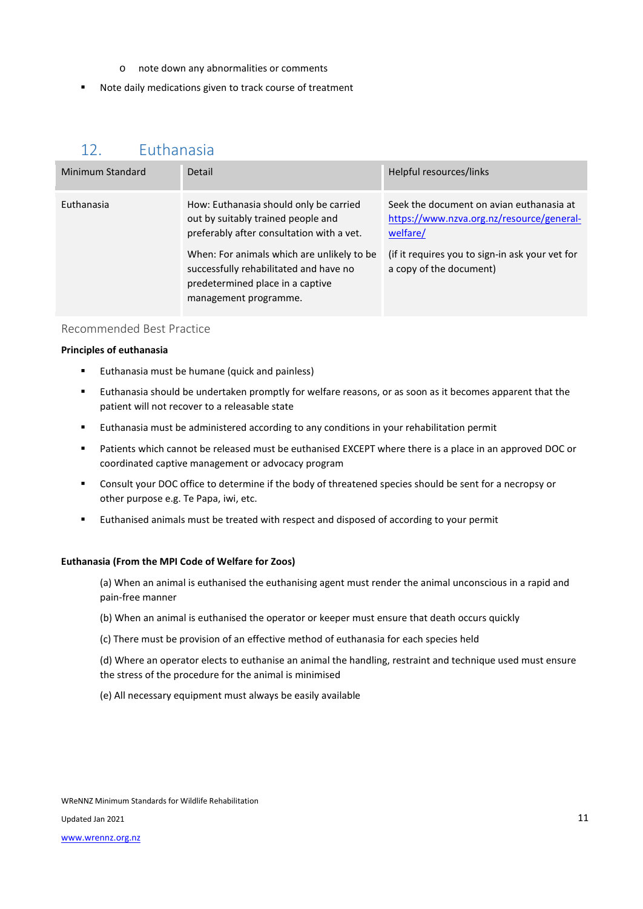- o note down any abnormalities or comments
- Note daily medications given to track course of treatment

### <span id="page-16-0"></span>12. Euthanasia

| Minimum Standard | Detail                                                                                                                                                                                                                                                                         | Helpful resources/links                                                                                                                                                         |
|------------------|--------------------------------------------------------------------------------------------------------------------------------------------------------------------------------------------------------------------------------------------------------------------------------|---------------------------------------------------------------------------------------------------------------------------------------------------------------------------------|
| Euthanasia       | How: Euthanasia should only be carried<br>out by suitably trained people and<br>preferably after consultation with a vet.<br>When: For animals which are unlikely to be<br>successfully rehabilitated and have no<br>predetermined place in a captive<br>management programme. | Seek the document on avian euthanasia at<br>https://www.nzva.org.nz/resource/general-<br>welfare/<br>(if it requires you to sign-in ask your vet for<br>a copy of the document) |

#### Recommended Best Practice

#### **Principles of euthanasia**

- **Euthanasia must be humane (quick and painless)**
- Euthanasia should be undertaken promptly for welfare reasons, or as soon as it becomes apparent that the patient will not recover to a releasable state
- Euthanasia must be administered according to any conditions in your rehabilitation permit
- Patients which cannot be released must be euthanised EXCEPT where there is a place in an approved DOC or coordinated captive management or advocacy program
- Consult your DOC office to determine if the body of threatened species should be sent for a necropsy or other purpose e.g. Te Papa, iwi, etc.
- Euthanised animals must be treated with respect and disposed of according to your permit

#### **Euthanasia (From the MPI Code of Welfare for Zoos)**

(a) When an animal is euthanised the euthanising agent must render the animal unconscious in a rapid and pain-free manner

- (b) When an animal is euthanised the operator or keeper must ensure that death occurs quickly
- (c) There must be provision of an effective method of euthanasia for each species held

(d) Where an operator elects to euthanise an animal the handling, restraint and technique used must ensure the stress of the procedure for the animal is minimised

(e) All necessary equipment must always be easily available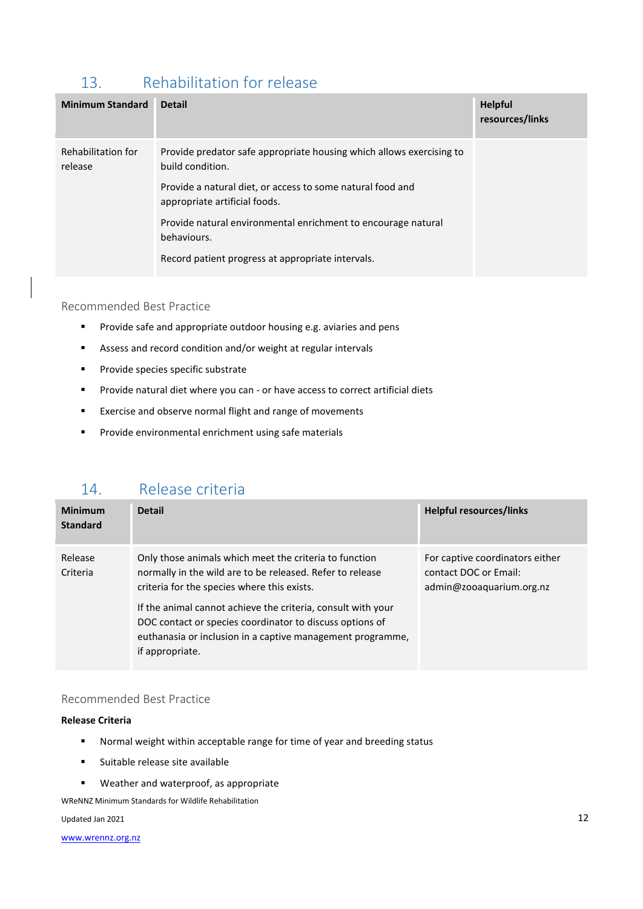# <span id="page-17-0"></span>13. Rehabilitation for release

| <b>Minimum Standard</b>       | <b>Detail</b>                                                                               | <b>Helpful</b><br>resources/links |
|-------------------------------|---------------------------------------------------------------------------------------------|-----------------------------------|
| Rehabilitation for<br>release | Provide predator safe appropriate housing which allows exercising to<br>build condition.    |                                   |
|                               | Provide a natural diet, or access to some natural food and<br>appropriate artificial foods. |                                   |
|                               | Provide natural environmental enrichment to encourage natural<br>behaviours.                |                                   |
|                               | Record patient progress at appropriate intervals.                                           |                                   |

#### Recommended Best Practice

- **Provide safe and appropriate outdoor housing e.g. aviaries and pens**
- Assess and record condition and/or weight at regular intervals
- **Provide species specific substrate**
- **Provide natural diet where you can or have access to correct artificial diets**
- Exercise and observe normal flight and range of movements
- **Provide environmental enrichment using safe materials**

### <span id="page-17-1"></span>14. Release criteria

| <b>Minimum</b><br><b>Standard</b> | <b>Detail</b>                                                                                                                                                                                                                                                                                                                                                                   | <b>Helpful resources/links</b>                                                       |
|-----------------------------------|---------------------------------------------------------------------------------------------------------------------------------------------------------------------------------------------------------------------------------------------------------------------------------------------------------------------------------------------------------------------------------|--------------------------------------------------------------------------------------|
| Release<br>Criteria               | Only those animals which meet the criteria to function<br>normally in the wild are to be released. Refer to release<br>criteria for the species where this exists.<br>If the animal cannot achieve the criteria, consult with your<br>DOC contact or species coordinator to discuss options of<br>euthanasia or inclusion in a captive management programme,<br>if appropriate. | For captive coordinators either<br>contact DOC or Email:<br>admin@zooaquarium.org.nz |

#### Recommended Best Practice

#### **Release Criteria**

- Normal weight within acceptable range for time of year and breeding status
- Suitable release site available
- Weather and waterproof, as appropriate

WReNNZ Minimum Standards for Wildlife Rehabilitation

#### Updated Jan 2021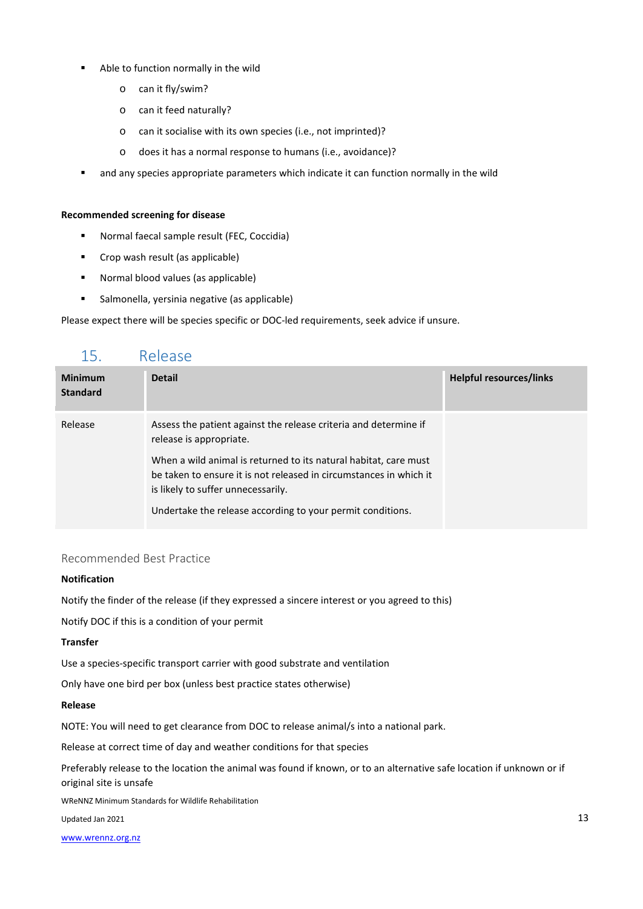- Able to function normally in the wild
	- o can it fly/swim?
	- o can it feed naturally?
	- o can it socialise with its own species (i.e., not imprinted)?
	- o does it has a normal response to humans (i.e., avoidance)?
- and any species appropriate parameters which indicate it can function normally in the wild

#### **Recommended screening for disease**

- Normal faecal sample result (FEC, Coccidia)
- **•** Crop wash result (as applicable)
- Normal blood values (as applicable)
- Salmonella, yersinia negative (as applicable)

<span id="page-18-0"></span>Please expect there will be species specific or DOC-led requirements, seek advice if unsure.

### 15. Release

| <b>Minimum</b><br><b>Standard</b> | <b>Detail</b>                                                                                                                                                                | <b>Helpful resources/links</b> |
|-----------------------------------|------------------------------------------------------------------------------------------------------------------------------------------------------------------------------|--------------------------------|
| Release                           | Assess the patient against the release criteria and determine if<br>release is appropriate.                                                                                  |                                |
|                                   | When a wild animal is returned to its natural habitat, care must<br>be taken to ensure it is not released in circumstances in which it<br>is likely to suffer unnecessarily. |                                |
|                                   | Undertake the release according to your permit conditions.                                                                                                                   |                                |

#### Recommended Best Practice

#### **Notification**

Notify the finder of the release (if they expressed a sincere interest or you agreed to this)

Notify DOC if this is a condition of your permit

#### **Transfer**

Use a species-specific transport carrier with good substrate and ventilation

Only have one bird per box (unless best practice states otherwise)

#### **Release**

NOTE: You will need to get clearance from DOC to release animal/s into a national park.

Release at correct time of day and weather conditions for that species

Preferably release to the location the animal was found if known, or to an alternative safe location if unknown or if original site is unsafe

WReNNZ Minimum Standards for Wildlife Rehabilitation

Updated Jan 2021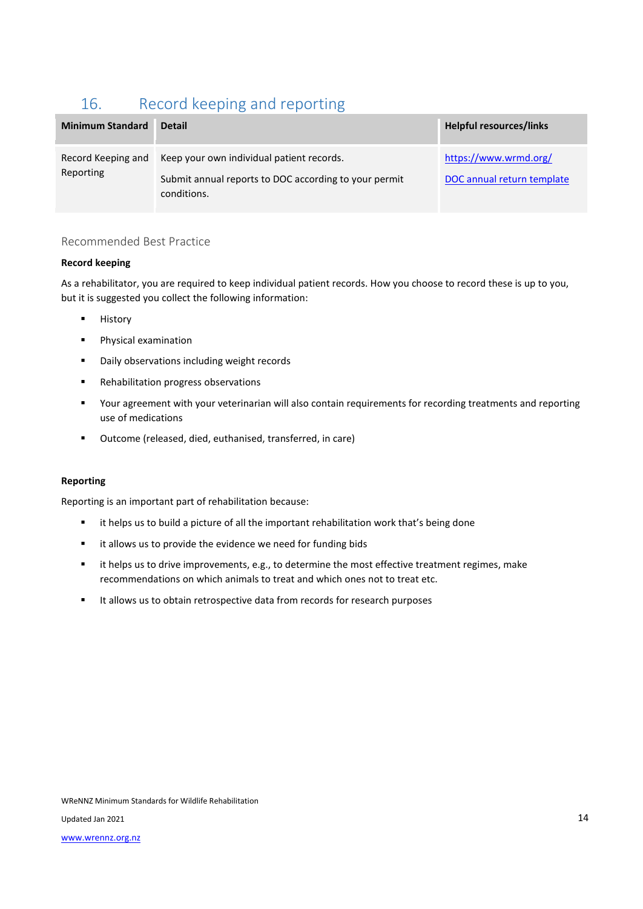# <span id="page-19-0"></span>16. Record keeping and reporting

| <b>Minimum Standard</b>         | <b>Detail</b>                                                                                                     | <b>Helpful resources/links</b>                      |
|---------------------------------|-------------------------------------------------------------------------------------------------------------------|-----------------------------------------------------|
| Record Keeping and<br>Reporting | Keep your own individual patient records.<br>Submit annual reports to DOC according to your permit<br>conditions. | https://www.wrmd.org/<br>DOC annual return template |

#### Recommended Best Practice

#### **Record keeping**

As a rehabilitator, you are required to keep individual patient records. How you choose to record these is up to you, but it is suggested you collect the following information:

- **History**
- **Physical examination**
- Daily observations including weight records
- **Rehabilitation progress observations**
- Your agreement with your veterinarian will also contain requirements for recording treatments and reporting use of medications
- Outcome (released, died, euthanised, transferred, in care)

#### **Reporting**

Reporting is an important part of rehabilitation because:

- it helps us to build a picture of all the important rehabilitation work that's being done
- **EXTERCH 1** it allows us to provide the evidence we need for funding bids
- it helps us to drive improvements, e.g., to determine the most effective treatment regimes, make recommendations on which animals to treat and which ones not to treat etc.
- It allows us to obtain retrospective data from records for research purposes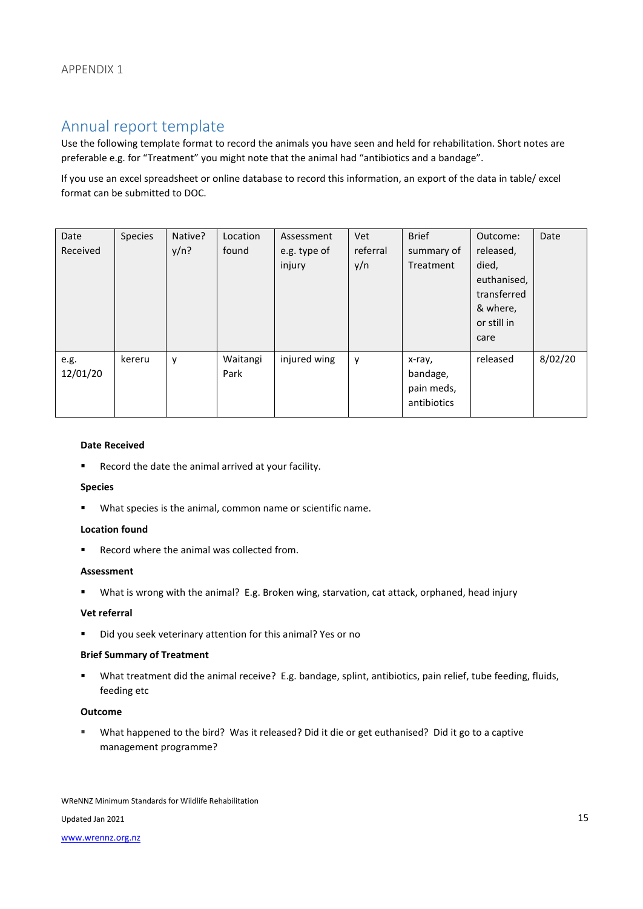# Annual report template

Use the following template format to record the animals you have seen and held for rehabilitation. Short notes are preferable e.g. for "Treatment" you might note that the animal had "antibiotics and a bandage".

If you use an excel spreadsheet or online database to record this information, an export of the data in table/ excel format can be submitted to DOC.

| Date<br>Received | Species | Native?<br>y/n? | Location<br>found | Assessment<br>e.g. type of<br>injury | Vet<br>referral<br>y/n | <b>Brief</b><br>summary of<br>Treatment         | Outcome:<br>released,<br>died,<br>euthanised,<br>transferred<br>& where,<br>or still in<br>care | Date    |
|------------------|---------|-----------------|-------------------|--------------------------------------|------------------------|-------------------------------------------------|-------------------------------------------------------------------------------------------------|---------|
| e.g.<br>12/01/20 | kereru  | y               | Waitangi<br>Park  | injured wing                         | y                      | x-ray,<br>bandage,<br>pain meds,<br>antibiotics | released                                                                                        | 8/02/20 |

#### **Date Received**

Record the date the animal arrived at your facility.

#### **Species**

What species is the animal, common name or scientific name.

#### **Location found**

■ Record where the animal was collected from.

#### **Assessment**

What is wrong with the animal? E.g. Broken wing, starvation, cat attack, orphaned, head injury

#### **Vet referral**

Did you seek veterinary attention for this animal? Yes or no

#### **Brief Summary of Treatment**

 What treatment did the animal receive? E.g. bandage, splint, antibiotics, pain relief, tube feeding, fluids, feeding etc

#### **Outcome**

 What happened to the bird? Was it released? Did it die or get euthanised? Did it go to a captive management programme?

WReNNZ Minimum Standards for Wildlife Rehabilitation Updated Jan 2021